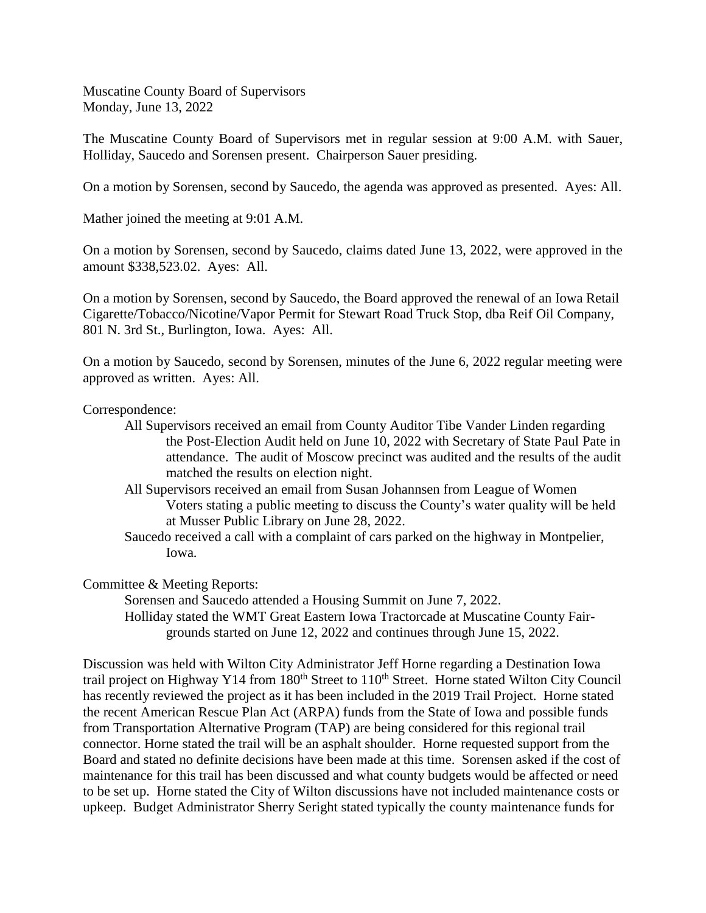The Muscatine County Board of Supervisors met in regular session at 9:00 A.M. with Sauer, Holliday, Saucedo and Sorensen present. Chairperson Sauer presiding.

On a motion by Sorensen, second by Saucedo, the agenda was approved as presented. Ayes: All.

Mather joined the meeting at 9:01 A.M.

On a motion by Sorensen, second by Saucedo, claims dated June 13, 2022, were approved in the amount \$338,523.02. Ayes: All.

On a motion by Sorensen, second by Saucedo, the Board approved the renewal of an Iowa Retail Cigarette/Tobacco/Nicotine/Vapor Permit for Stewart Road Truck Stop, dba Reif Oil Company, 801 N. 3rd St., Burlington, Iowa. Ayes: All.

On a motion by Saucedo, second by Sorensen, minutes of the June 6, 2022 regular meeting were approved as written. Ayes: All.

#### Correspondence:

- All Supervisors received an email from County Auditor Tibe Vander Linden regarding the Post-Election Audit held on June 10, 2022 with Secretary of State Paul Pate in attendance. The audit of Moscow precinct was audited and the results of the audit matched the results on election night.
- All Supervisors received an email from Susan Johannsen from League of Women Voters stating a public meeting to discuss the County's water quality will be held at Musser Public Library on June 28, 2022.
- Saucedo received a call with a complaint of cars parked on the highway in Montpelier, Iowa.

Committee & Meeting Reports:

Sorensen and Saucedo attended a Housing Summit on June 7, 2022. Holliday stated the WMT Great Eastern Iowa Tractorcade at Muscatine County Fairgrounds started on June 12, 2022 and continues through June 15, 2022.

Discussion was held with Wilton City Administrator Jeff Horne regarding a Destination Iowa trail project on Highway Y14 from 180<sup>th</sup> Street to 110<sup>th</sup> Street. Horne stated Wilton City Council has recently reviewed the project as it has been included in the 2019 Trail Project. Horne stated the recent American Rescue Plan Act (ARPA) funds from the State of Iowa and possible funds from Transportation Alternative Program (TAP) are being considered for this regional trail connector. Horne stated the trail will be an asphalt shoulder. Horne requested support from the Board and stated no definite decisions have been made at this time. Sorensen asked if the cost of maintenance for this trail has been discussed and what county budgets would be affected or need to be set up. Horne stated the City of Wilton discussions have not included maintenance costs or upkeep. Budget Administrator Sherry Seright stated typically the county maintenance funds for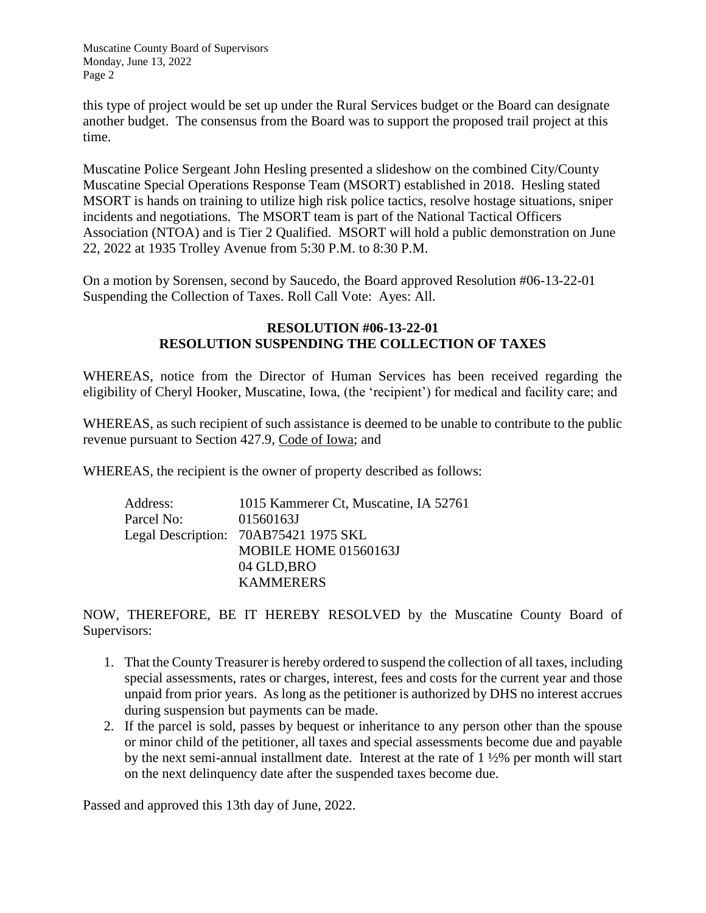this type of project would be set up under the Rural Services budget or the Board can designate another budget. The consensus from the Board was to support the proposed trail project at this time.

Muscatine Police Sergeant John Hesling presented a slideshow on the combined City/County Muscatine Special Operations Response Team (MSORT) established in 2018. Hesling stated MSORT is hands on training to utilize high risk police tactics, resolve hostage situations, sniper incidents and negotiations. The MSORT team is part of the National Tactical Officers Association (NTOA) and is Tier 2 Qualified. MSORT will hold a public demonstration on June 22, 2022 at 1935 Trolley Avenue from 5:30 P.M. to 8:30 P.M.

On a motion by Sorensen, second by Saucedo, the Board approved Resolution #06-13-22-01 Suspending the Collection of Taxes. Roll Call Vote: Ayes: All.

#### **RESOLUTION #06-13-22-01 RESOLUTION SUSPENDING THE COLLECTION OF TAXES**

WHEREAS, notice from the Director of Human Services has been received regarding the eligibility of Cheryl Hooker, Muscatine, Iowa, (the 'recipient') for medical and facility care; and

WHEREAS, as such recipient of such assistance is deemed to be unable to contribute to the public revenue pursuant to Section 427.9, Code of Iowa; and

WHEREAS, the recipient is the owner of property described as follows:

| Address:   | 1015 Kammerer Ct, Muscatine, IA 52761 |
|------------|---------------------------------------|
| Parcel No: | 01560163J                             |
|            | Legal Description: 70AB75421 1975 SKL |
|            | MOBILE HOME 01560163J                 |
|            | 04 GLD, BRO                           |
|            | <b>KAMMERERS</b>                      |

NOW, THEREFORE, BE IT HEREBY RESOLVED by the Muscatine County Board of Supervisors:

- 1. That the County Treasurer is hereby ordered to suspend the collection of all taxes, including special assessments, rates or charges, interest, fees and costs for the current year and those unpaid from prior years. As long as the petitioner is authorized by DHS no interest accrues during suspension but payments can be made.
- 2. If the parcel is sold, passes by bequest or inheritance to any person other than the spouse or minor child of the petitioner, all taxes and special assessments become due and payable by the next semi-annual installment date. Interest at the rate of 1 ½% per month will start on the next delinquency date after the suspended taxes become due.

Passed and approved this 13th day of June, 2022.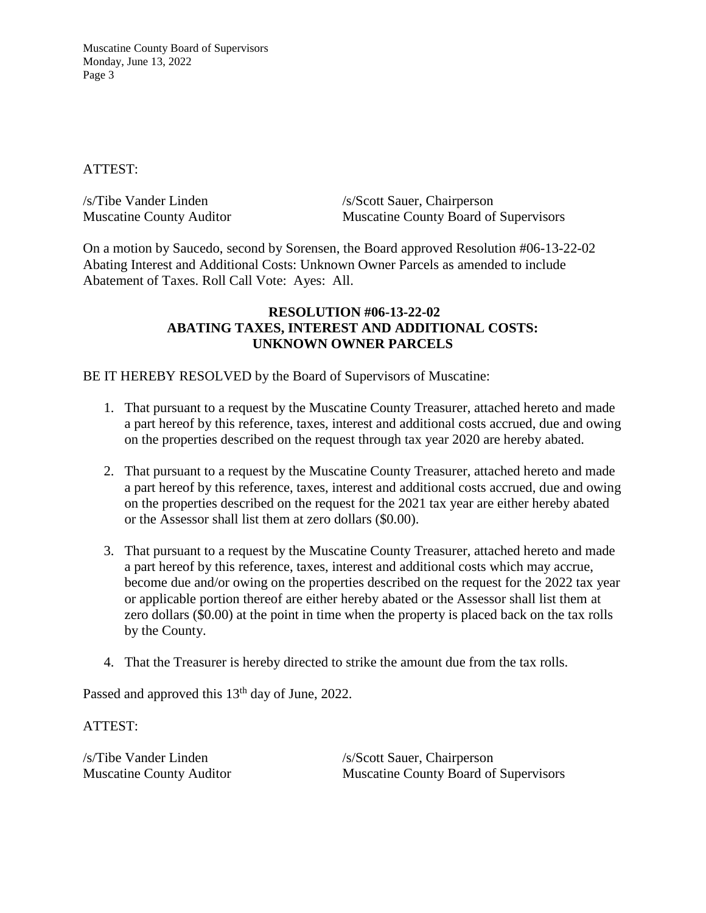#### ATTEST:

| /s/Tibe Vander Linden           | /s/Scott Sauer, Chairperson                  |
|---------------------------------|----------------------------------------------|
| <b>Muscatine County Auditor</b> | <b>Muscatine County Board of Supervisors</b> |

On a motion by Saucedo, second by Sorensen, the Board approved Resolution #06-13-22-02 Abating Interest and Additional Costs: Unknown Owner Parcels as amended to include Abatement of Taxes. Roll Call Vote: Ayes: All.

### **RESOLUTION #06-13-22-02 ABATING TAXES, INTEREST AND ADDITIONAL COSTS: UNKNOWN OWNER PARCELS**

BE IT HEREBY RESOLVED by the Board of Supervisors of Muscatine:

- 1. That pursuant to a request by the Muscatine County Treasurer, attached hereto and made a part hereof by this reference, taxes, interest and additional costs accrued, due and owing on the properties described on the request through tax year 2020 are hereby abated.
- 2. That pursuant to a request by the Muscatine County Treasurer, attached hereto and made a part hereof by this reference, taxes, interest and additional costs accrued, due and owing on the properties described on the request for the 2021 tax year are either hereby abated or the Assessor shall list them at zero dollars (\$0.00).
- 3. That pursuant to a request by the Muscatine County Treasurer, attached hereto and made a part hereof by this reference, taxes, interest and additional costs which may accrue, become due and/or owing on the properties described on the request for the 2022 tax year or applicable portion thereof are either hereby abated or the Assessor shall list them at zero dollars (\$0.00) at the point in time when the property is placed back on the tax rolls by the County.
- 4. That the Treasurer is hereby directed to strike the amount due from the tax rolls.

Passed and approved this 13<sup>th</sup> day of June, 2022.

ATTEST:

/s/Tibe Vander Linden /s/Scott Sauer, Chairperson Muscatine County Auditor Muscatine County Board of Supervisors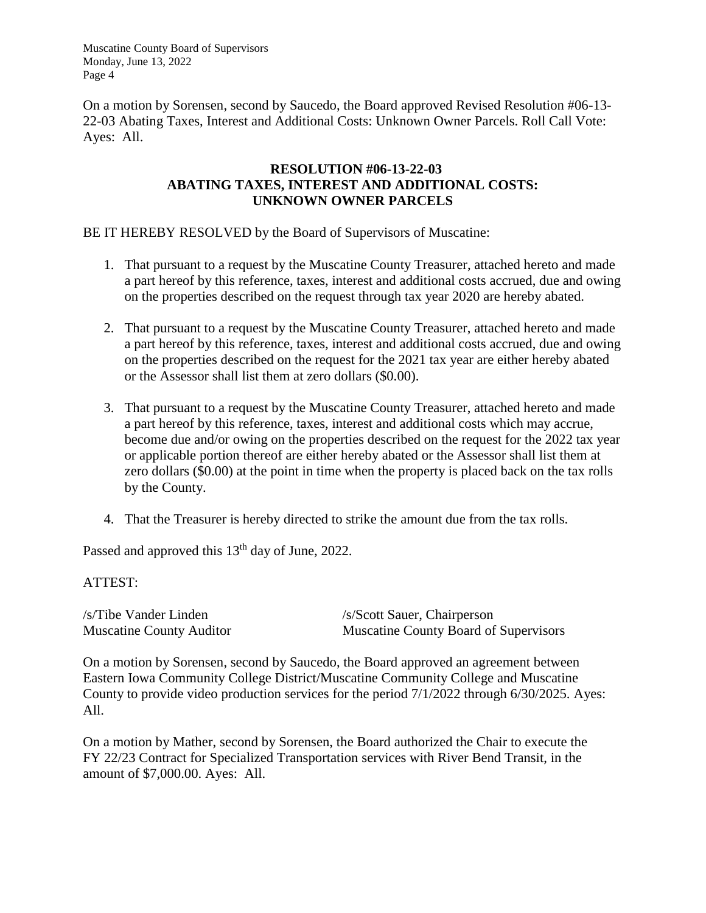On a motion by Sorensen, second by Saucedo, the Board approved Revised Resolution #06-13- 22-03 Abating Taxes, Interest and Additional Costs: Unknown Owner Parcels. Roll Call Vote: Ayes: All.

## **RESOLUTION #06-13-22-03 ABATING TAXES, INTEREST AND ADDITIONAL COSTS: UNKNOWN OWNER PARCELS**

BE IT HEREBY RESOLVED by the Board of Supervisors of Muscatine:

- 1. That pursuant to a request by the Muscatine County Treasurer, attached hereto and made a part hereof by this reference, taxes, interest and additional costs accrued, due and owing on the properties described on the request through tax year 2020 are hereby abated.
- 2. That pursuant to a request by the Muscatine County Treasurer, attached hereto and made a part hereof by this reference, taxes, interest and additional costs accrued, due and owing on the properties described on the request for the 2021 tax year are either hereby abated or the Assessor shall list them at zero dollars (\$0.00).
- 3. That pursuant to a request by the Muscatine County Treasurer, attached hereto and made a part hereof by this reference, taxes, interest and additional costs which may accrue, become due and/or owing on the properties described on the request for the 2022 tax year or applicable portion thereof are either hereby abated or the Assessor shall list them at zero dollars (\$0.00) at the point in time when the property is placed back on the tax rolls by the County.
- 4. That the Treasurer is hereby directed to strike the amount due from the tax rolls.

Passed and approved this 13<sup>th</sup> day of June, 2022.

# ATTEST:

/s/Tibe Vander Linden /s/Scott Sauer, Chairperson Muscatine County Auditor Muscatine County Board of Supervisors

On a motion by Sorensen, second by Saucedo, the Board approved an agreement between Eastern Iowa Community College District/Muscatine Community College and Muscatine County to provide video production services for the period 7/1/2022 through 6/30/2025. Ayes: All.

On a motion by Mather, second by Sorensen, the Board authorized the Chair to execute the FY 22/23 Contract for Specialized Transportation services with River Bend Transit, in the amount of \$7,000.00. Ayes: All.